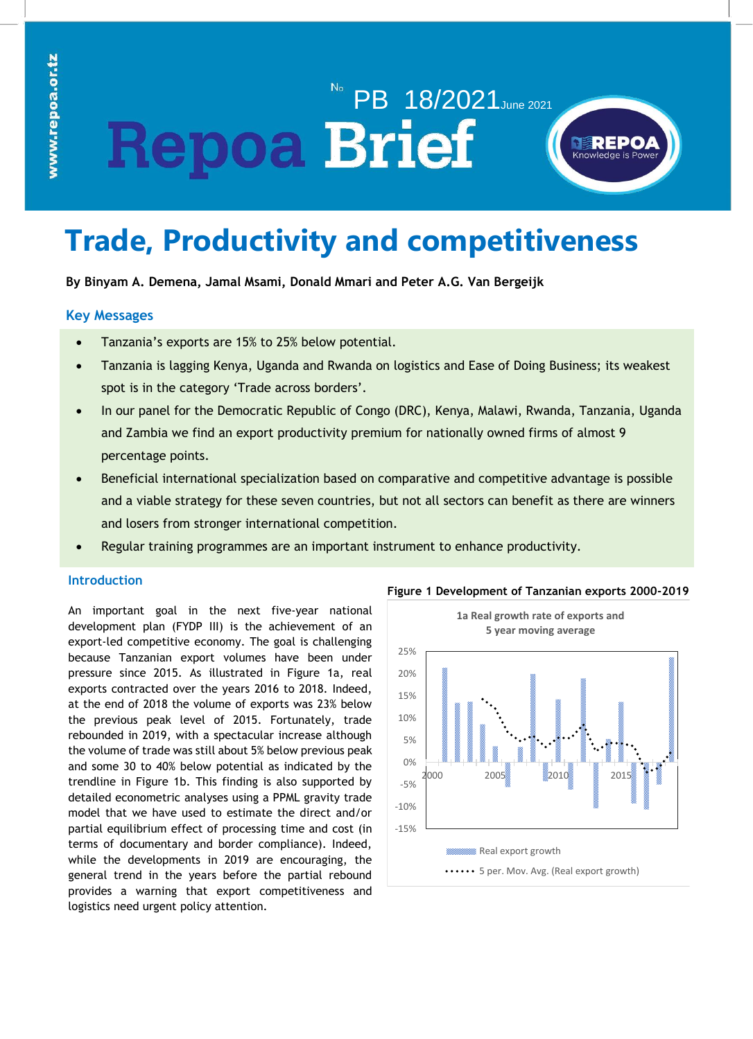# PB 18/2021 June 2021 **Repoa Brief**



# **Trade, Productivity and competitiveness**

**By Binyam A. Demena, Jamal Msami, Donald Mmari and Peter A.G. Van Bergeijk**

# **Key Messages**

- Tanzania's exports are 15% to 25% below potential.
- Tanzania is lagging Kenya, Uganda and Rwanda on logistics and Ease of Doing Business; its weakest spot is in the category 'Trade across borders'.
- In our panel for the Democratic Republic of Congo (DRC), Kenya, Malawi, Rwanda, Tanzania, Uganda and Zambia we find an export productivity premium for nationally owned firms of almost 9 percentage points.
- Beneficial international specialization based on comparative and competitive advantage is possible and a viable strategy for these seven countries, but not all sectors can benefit as there are winners and losers from stronger international competition.
- Regular training programmes are an important instrument to enhance productivity.

# **Introduction**

An important goal in the next five-year national development plan (FYDP III) is the achievement of an export-led competitive economy. The goal is challenging because Tanzanian export volumes have been under pressure since 2015. As illustrated in Figure 1a, real exports contracted over the years 2016 to 2018. Indeed, at the end of 2018 the volume of exports was 23% below the previous peak level of 2015. Fortunately, trade rebounded in 2019, with a spectacular increase although the volume of trade was still about 5% below previous peak and some 30 to 40% below potential as indicated by the trendline in Figure 1b. This finding is also supported by detailed econometric analyses using a PPML gravity trade model that we have used to estimate the direct and/or partial equilibrium effect of processing time and cost (in terms of documentary and border compliance). Indeed, while the developments in 2019 are encouraging, the general trend in the years before the partial rebound provides a warning that export competitiveness and logistics need urgent policy attention.



# **Figure 1 Development of Tanzanian exports 2000-2019**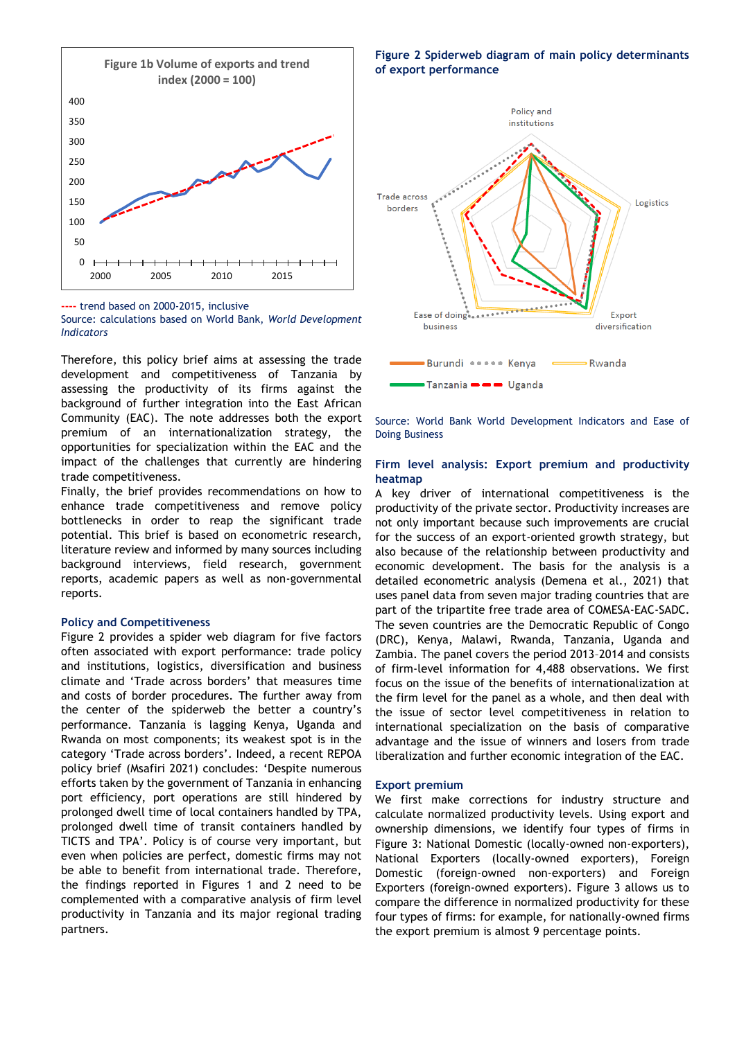

**----** trend based on 2000-2015, inclusive

Source: calculations based on World Bank, *World Development Indicators*

mererore, the pency since and as assessing the trace opment and comp assessing the productivity of its firms against the background of further integration into the East African Community (EAC). The note addresses both the export premium of an internationalization strategy, the opportunities for specialization within the EAC and the impact of the challenges that currently are hindering trade competitiveness. Therefore, this policy brief aims at assessing the trade

Finally, the brief provides recommendations on how to enhance trade competitiveness and remove policy bottlenecks in order to reap the significant trade potential. This brief is based on econometric research, literature review and informed by many sources including also becaus background interviews, field research, government <sub>economi</sub> reports, academic papers as well as non-governmental reports.

#### **Policy and Competitiveness**

Figure 2 provides a spider web diagram for five factors often associated with export performance: trade policy and institutions, logistics, diversification and business climate and 'Trade across borders' that measures time and costs of border procedures. The further away from the center of the spiderweb the better a country's performance. Tanzania is lagging Kenya, Uganda and Rwanda on most components; its weakest spot is in the category 'Trade across borders'. Indeed, a recent REPOA policy brief (Msafiri 2021) concludes: 'Despite numerous efforts taken by the government of Tanzania in enhancing port efficiency, port operations are still hindered by prolonged dwell time of local containers handled by TPA, prolonged dwell time of transit containers handled by TICTS and TPA'. Policy is of course very important, but even when policies are perfect, domestic firms may not be able to benefit from international trade. Therefore, the findings reported in Figures 1 and 2 need to be complemented with a comparative analysis of firm level productivity in Tanzania and its major regional trading partners.

**Figure 2 Spiderweb diagram of main policy determinants of export performance**



Source: World Bank World Development Indicators and Ease of Doing Business

#### **Firm level analysis: Export premium and productivity heatmap**

A key driver of international competitiveness is the productivity of the private sector. Productivity increases are not only important because such improvements are crucial for the success of an export-oriented growth strategy, but also because of the relationship between productivity and economic development. The basis for the analysis is a detailed econometric analysis (Demena et al., 2021) that uses panel data from seven major trading countries that are part of the tripartite free trade area of COMESA-EAC-SADC. The seven countries are the Democratic Republic of Congo (DRC), Kenya, Malawi, Rwanda, Tanzania, Uganda and Zambia. The panel covers the period 2013–2014 and consists of firm-level information for 4,488 observations. We first focus on the issue of the benefits of internationalization at the firm level for the panel as a whole, and then deal with the issue of sector level competitiveness in relation to international specialization on the basis of comparative advantage and the issue of winners and losers from trade liberalization and further economic integration of the EAC.

### **Export premium**

We first make corrections for industry structure and calculate normalized productivity levels. Using export and ownership dimensions, we identify four types of firms in Figure 3: National Domestic (locally-owned non-exporters), National Exporters (locally-owned exporters), Foreign Domestic (foreign-owned non-exporters) and Foreign Exporters (foreign-owned exporters). Figure 3 allows us to compare the difference in normalized productivity for these four types of firms: for example, for nationally-owned firms the export premium is almost 9 percentage points.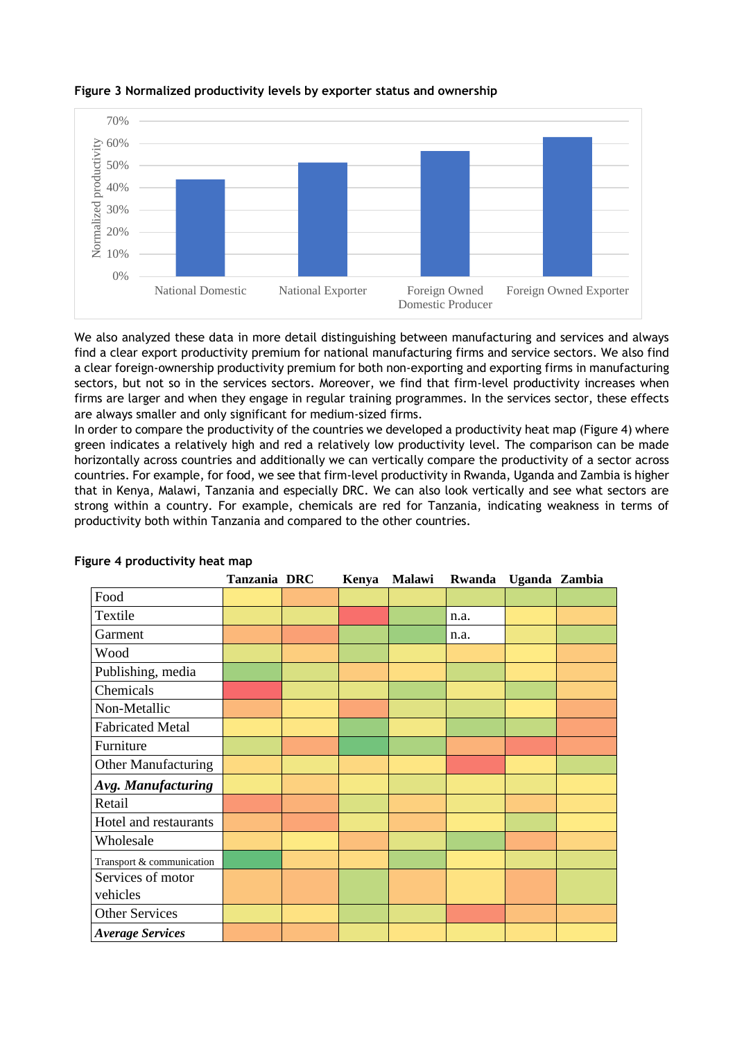

## **Figure 3 Normalized productivity levels by exporter status and ownership**

We also analyzed these data in more detail distinguishing between manufacturing and services and always find a clear export productivity premium for national manufacturing firms and service sectors. We also find a clear foreign-ownership productivity premium for both non-exporting and exporting firms in manufacturing sectors, but not so in the services sectors. Moreover, we find that firm-level productivity increases when firms are larger and when they engage in regular training programmes. In the services sector, these effects are always smaller and only significant for medium-sized firms.

In order to compare the productivity of the countries we developed a productivity heat map (Figure 4) where green indicates a relatively high and red a relatively low productivity level. The comparison can be made horizontally across countries and additionally we can vertically compare the productivity of a sector across countries. For example, for food, we see that firm-level productivity in Rwanda, Uganda and Zambia is higher that in Kenya, Malawi, Tanzania and especially DRC. We can also look vertically and see what sectors are strong within a country. For example, chemicals are red for Tanzania, indicating weakness in terms of productivity both within Tanzania and compared to the other countries.

|                            | Tanzania DRC | Kenya | Malawi | Rwanda | Uganda Zambia |  |
|----------------------------|--------------|-------|--------|--------|---------------|--|
| Food                       |              |       |        |        |               |  |
| Textile                    |              |       |        | n.a.   |               |  |
| Garment                    |              |       |        | n.a.   |               |  |
| Wood                       |              |       |        |        |               |  |
| Publishing, media          |              |       |        |        |               |  |
| Chemicals                  |              |       |        |        |               |  |
| Non-Metallic               |              |       |        |        |               |  |
| <b>Fabricated Metal</b>    |              |       |        |        |               |  |
| Furniture                  |              |       |        |        |               |  |
| <b>Other Manufacturing</b> |              |       |        |        |               |  |
| Avg. Manufacturing         |              |       |        |        |               |  |
| Retail                     |              |       |        |        |               |  |
| Hotel and restaurants      |              |       |        |        |               |  |
| Wholesale                  |              |       |        |        |               |  |
| Transport & communication  |              |       |        |        |               |  |
| Services of motor          |              |       |        |        |               |  |
| vehicles                   |              |       |        |        |               |  |
| <b>Other Services</b>      |              |       |        |        |               |  |
| <b>Average Services</b>    |              |       |        |        |               |  |

# **Figure 4 productivity heat map**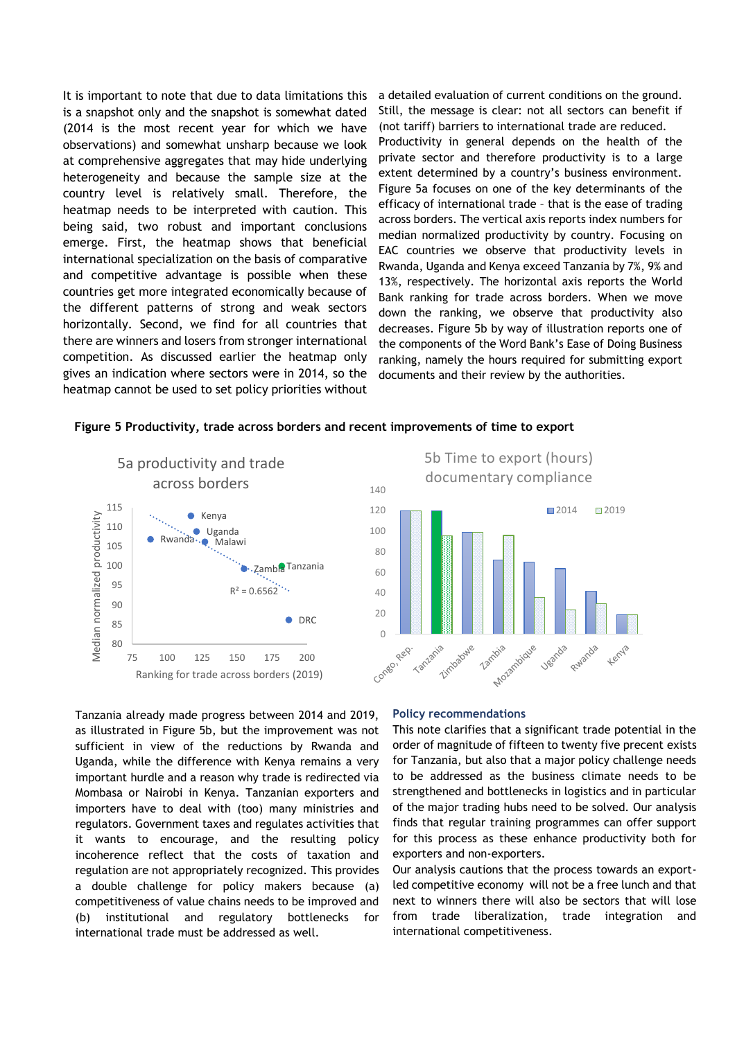It is important to note that due to data limitations this is a snapshot only and the snapshot is somewhat dated (2014 is the most recent year for which we have observations) and somewhat unsharp because we look at comprehensive aggregates that may hide underlying heterogeneity and because the sample size at the country level is relatively small. Therefore, the heatmap needs to be interpreted with caution. This being said, two robust and important conclusions emerge. First, the heatmap shows that beneficial international specialization on the basis of comparative and competitive advantage is possible when these countries get more integrated economically because of the different patterns of strong and weak sectors horizontally. Second, we find for all countries that there are winners and losers from stronger international competition. As discussed earlier the heatmap only gives an indication where sectors were in 2014, so the heatmap cannot be used to set policy priorities without

a detailed evaluation of current conditions on the ground. Still, the message is clear: not all sectors can benefit if (not tariff) barriers to international trade are reduced. Productivity in general depends on the health of the private sector and therefore productivity is to a large extent determined by a country's business environment. Figure 5a focuses on one of the key determinants of the efficacy of international trade – that is the ease of trading across borders. The vertical axis reports index numbers for median normalized productivity by country. Focusing on EAC countries we observe that productivity levels in Rwanda, Uganda and Kenya exceed Tanzania by 7%, 9% and 13%, respectively. The horizontal axis reports the World Bank ranking for trade across borders. When we move down the ranking, we observe that productivity also decreases. Figure 5b by way of illustration reports one of the components of the Word Bank's Ease of Doing Business ranking, namely the hours required for submitting export documents and their review by the authorities.

#### **Figure 5 Productivity, trade across borders and recent improvements of time to export**

120 140







Tanzania already made progress between 2014 and 2019, as illustrated in Figure 5b, but the improvement was not sufficient in view of the reductions by Rwanda and Uganda, while the difference with Kenya remains a very important hurdle and a reason why trade is redirected via Mombasa or Nairobi in Kenya. Tanzanian exporters and importers have to deal with (too) many ministries and regulators. Government taxes and regulates activities that it wants to encourage, and the resulting policy incoherence reflect that the costs of taxation and regulation are not appropriately recognized. This provides a double challenge for policy makers because (a) competitiveness of value chains needs to be improved and (b) institutional and regulatory bottlenecks for international trade must be addressed as well.

#### **Policy recommendations**

This note clarifies that a significant trade potential in the order of magnitude of fifteen to twenty five precent exists for Tanzania, but also that a major policy challenge needs to be addressed as the business climate needs to be strengthened and bottlenecks in logistics and in particular of the major trading hubs need to be solved. Our analysis finds that regular training programmes can offer support for this process as these enhance productivity both for exporters and non-exporters.

Our analysis cautions that the process towards an exportled competitive economy will not be a free lunch and that next to winners there will also be sectors that will lose from trade liberalization, trade integration and international competitiveness.